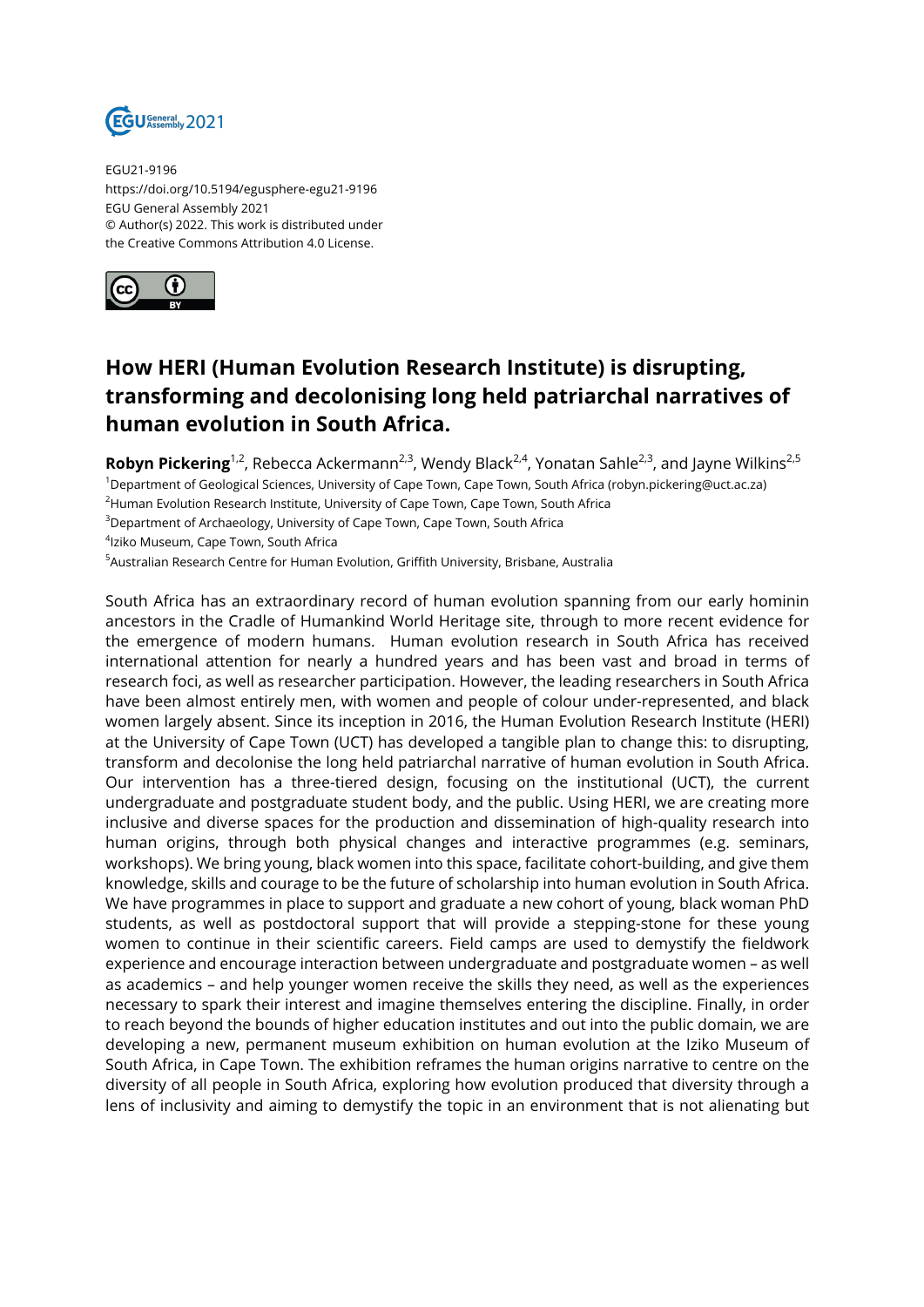

EGU21-9196 https://doi.org/10.5194/egusphere-egu21-9196 EGU General Assembly 2021 © Author(s) 2022. This work is distributed under the Creative Commons Attribution 4.0 License.



## **How HERI (Human Evolution Research Institute) is disrupting, transforming and decolonising long held patriarchal narratives of human evolution in South Africa.**

**Robyn Pickering**<sup>1,2</sup>, Rebecca Ackermann<sup>2,3</sup>, Wendy Black<sup>2,4</sup>, Yonatan Sahle<sup>2,3</sup>, and Jayne Wilkins<sup>2,5</sup>

<sup>1</sup>Department of Geological Sciences, University of Cape Town, Cape Town, South Africa (robyn.pickering@uct.ac.za)

<sup>2</sup>Human Evolution Research Institute, University of Cape Town, Cape Town, South Africa

<sup>3</sup>Department of Archaeology, University of Cape Town, Cape Town, South Africa

4 Iziko Museum, Cape Town, South Africa

<sup>5</sup>Australian Research Centre for Human Evolution, Griffith University, Brisbane, Australia

South Africa has an extraordinary record of human evolution spanning from our early hominin ancestors in the Cradle of Humankind World Heritage site, through to more recent evidence for the emergence of modern humans. Human evolution research in South Africa has received international attention for nearly a hundred years and has been vast and broad in terms of research foci, as well as researcher participation. However, the leading researchers in South Africa have been almost entirely men, with women and people of colour under-represented, and black women largely absent. Since its inception in 2016, the Human Evolution Research Institute (HERI) at the University of Cape Town (UCT) has developed a tangible plan to change this: to disrupting, transform and decolonise the long held patriarchal narrative of human evolution in South Africa. Our intervention has a three-tiered design, focusing on the institutional (UCT), the current undergraduate and postgraduate student body, and the public. Using HERI, we are creating more inclusive and diverse spaces for the production and dissemination of high-quality research into human origins, through both physical changes and interactive programmes (e.g. seminars, workshops). We bring young, black women into this space, facilitate cohort-building, and give them knowledge, skills and courage to be the future of scholarship into human evolution in South Africa. We have programmes in place to support and graduate a new cohort of young, black woman PhD students, as well as postdoctoral support that will provide a stepping-stone for these young women to continue in their scientific careers. Field camps are used to demystify the fieldwork experience and encourage interaction between undergraduate and postgraduate women – as well as academics – and help younger women receive the skills they need, as well as the experiences necessary to spark their interest and imagine themselves entering the discipline. Finally, in order to reach beyond the bounds of higher education institutes and out into the public domain, we are developing a new, permanent museum exhibition on human evolution at the Iziko Museum of South Africa, in Cape Town. The exhibition reframes the human origins narrative to centre on the diversity of all people in South Africa, exploring how evolution produced that diversity through a lens of inclusivity and aiming to demystify the topic in an environment that is not alienating but